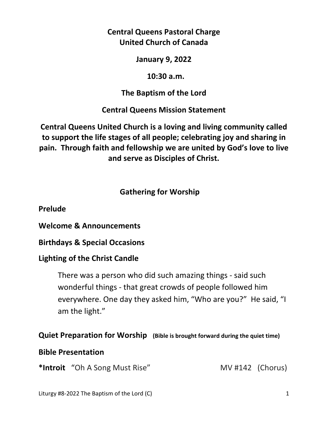**Central Queens Pastoral Charge United Church of Canada** 

**January 9, 2022** 

 **10:30 a.m.** 

# **The Baptism of the Lord**

**Central Queens Mission Statement** 

**Central Queens United Church is a loving and living community called to support the life stages of all people; celebrating joy and sharing in pain. Through faith and fellowship we are united by God's love to live and serve as Disciples of Christ.**

# **Gathering for Worship**

**Prelude** 

**Welcome & Announcements** 

**Birthdays & Special Occasions** 

# **Lighting of the Christ Candle**

There was a person who did such amazing things - said such wonderful things - that great crowds of people followed him everywhere. One day they asked him, "Who are you?" He said, "I am the light."

# **Quiet Preparation for Worship (Bible is brought forward during the quiet time)**

# **Bible Presentation**

\*Introit "Oh A Song Must Rise" MV #142 (Chorus)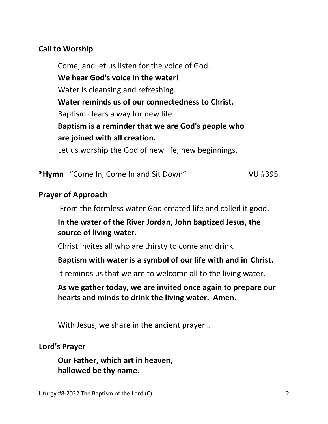## **Call to Worship**

 Come, and let us listen for the voice of God.  **We hear God's voice in the water!**  Water is cleansing and refreshing.  **Water reminds us of our connectedness to Christ.**  Baptism clears a way for new life.  **Baptism is a reminder that we are God's people who are joined with all creation.**  Let us worship the God of new life, new beginnings.

**\*Hymn** "Come In, Come In and Sit Down" VU #395

#### **Prayer of Approach**

From the formless water God created life and called it good.

## **In the water of the River Jordan, John baptized Jesus, the source of living water.**

Christ invites all who are thirsty to come and drink.

#### **Baptism with water is a symbol of our life with and in Christ.**

It reminds us that we are to welcome all to the living water.

## **As we gather today, we are invited once again to prepare our hearts and minds to drink the living water. Amen.**

With Jesus, we share in the ancient prayer…

#### **Lord's Prayer**

**Our Father, which art in heaven, hallowed be thy name.**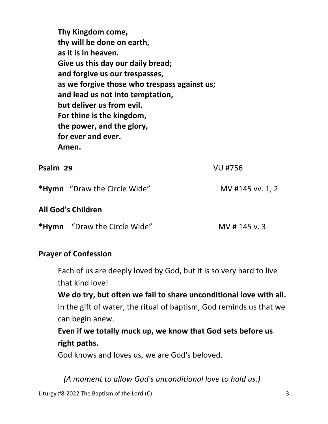**Thy Kingdom come, thy will be done on earth, as it is in heaven. Give us this day our daily bread; and forgive us our trespasses, as we forgive those who trespass against us; and lead us not into temptation, but deliver us from evil. For thine is the kingdom, the power, and the glory, for ever and ever. Amen.** 

#### **Psalm 29** VU #756

\*Hymn "Draw the Circle Wide" MV #145 vv. 1, 2

#### **All God's Children**

\*Hymn "Draw the Circle Wide" MV # 145 v. 3

#### **Prayer of Confession**

Each of us are deeply loved by God, but it is so very hard to live that kind love!

 **We do try, but often we fail to share unconditional love with all.**  In the gift of water, the ritual of baptism, God reminds us that we can begin anew.

 **Even if we totally muck up, we know that God sets before us right paths.** 

God knows and loves us, we are God's beloved.

*(A moment to allow God's unconditional love to hold us.)*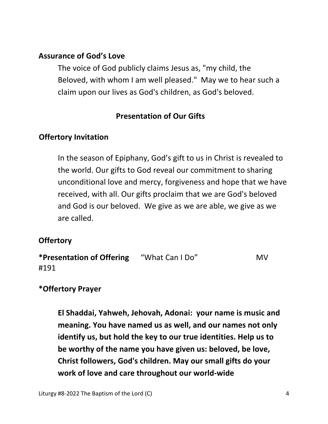### **Assurance of God's Love**

The voice of God publicly claims Jesus as, "my child, the Beloved, with whom I am well pleased." May we to hear such a claim upon our lives as God's children, as God's beloved.

## **Presentation of Our Gifts**

## **Offertory Invitation**

In the season of Epiphany, God's gift to us in Christ is revealed to the world. Our gifts to God reveal our commitment to sharing unconditional love and mercy, forgiveness and hope that we have received, with all. Our gifts proclaim that we are God's beloved and God is our beloved. We give as we are able, we give as we are called.

## **Offertory**

| *Presentation of Offering | "What Can I Do" | MV. |
|---------------------------|-----------------|-----|
| #191                      |                 |     |

## **\*Offertory Prayer**

 **El Shaddai, Yahweh, Jehovah, Adonai: your name is music and meaning. You have named us as well, and our names not only identify us, but hold the key to our true identities. Help us to be worthy of the name you have given us: beloved, be love, Christ followers, God's children. May our small gifts do your work of love and care throughout our world-wide**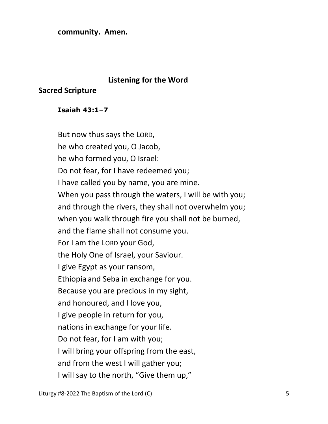#### **community. Amen.**

#### **Listening for the Word**

#### **Sacred Scripture**

#### **Isaiah 43:1–7**

 But now thus says the LORD, he who created you, O Jacob, he who formed you, O Israel: Do not fear, for I have redeemed you; I have called you by name, you are mine. When you pass through the waters, I will be with you; and through the rivers, they shall not overwhelm you; when you walk through fire you shall not be burned, and the flame shall not consume you. For I am the LORD your God, the Holy One of Israel, your Saviour. I give Egypt as your ransom, Ethiopia and Seba in exchange for you. Because you are precious in my sight, and honoured, and I love you, I give people in return for you, nations in exchange for your life. Do not fear, for I am with you; I will bring your offspring from the east, and from the west I will gather you; I will say to the north, "Give them up,"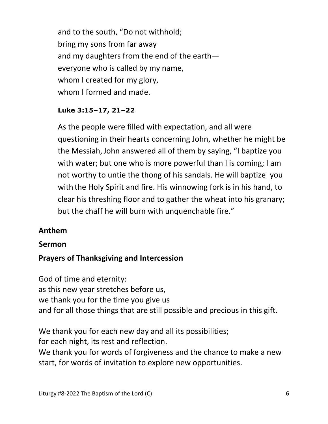and to the south, "Do not withhold; bring my sons from far away and my daughters from the end of the earth everyone who is called by my name, whom I created for my glory, whom I formed and made.

### **Luke 3:15–17, 21–22**

As the people were filled with expectation, and all were questioning in their hearts concerning John, whether he might be the Messiah,John answered all of them by saying, "I baptize you with water; but one who is more powerful than I is coming; I am not worthy to untie the thong of his sandals. He will baptize you with the Holy Spirit and fire. His winnowing fork is in his hand, to clear his threshing floor and to gather the wheat into his granary; but the chaff he will burn with unquenchable fire."

## **Anthem**

#### **Sermon**

## **Prayers of Thanksgiving and Intercession**

God of time and eternity: as this new year stretches before us, we thank you for the time you give us and for all those things that are still possible and precious in this gift.

We thank you for each new day and all its possibilities; for each night, its rest and reflection. We thank you for words of forgiveness and the chance to make a new start, for words of invitation to explore new opportunities.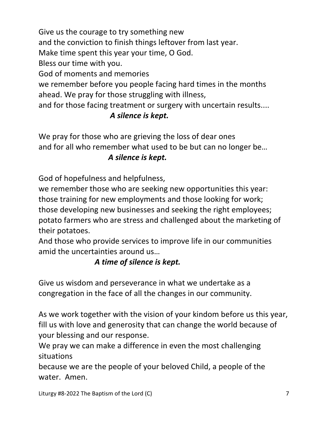Give us the courage to try something new and the conviction to finish things leftover from last year.

Make time spent this year your time, O God.

Bless our time with you.

God of moments and memories

we remember before you people facing hard times in the months ahead. We pray for those struggling with illness,

and for those facing treatment or surgery with uncertain results....

# *A silence is kept.*

We pray for those who are grieving the loss of dear ones and for all who remember what used to be but can no longer be…

## *A silence is kept.*

God of hopefulness and helpfulness,

we remember those who are seeking new opportunities this year: those training for new employments and those looking for work; those developing new businesses and seeking the right employees; potato farmers who are stress and challenged about the marketing of their potatoes.

And those who provide services to improve life in our communities amid the uncertainties around us…

# *A time of silence is kept.*

Give us wisdom and perseverance in what we undertake as a congregation in the face of all the changes in our community.

As we work together with the vision of your kindom before us this year, fill us with love and generosity that can change the world because of your blessing and our response.

We pray we can make a difference in even the most challenging situations

because we are the people of your beloved Child, a people of the water. Amen.